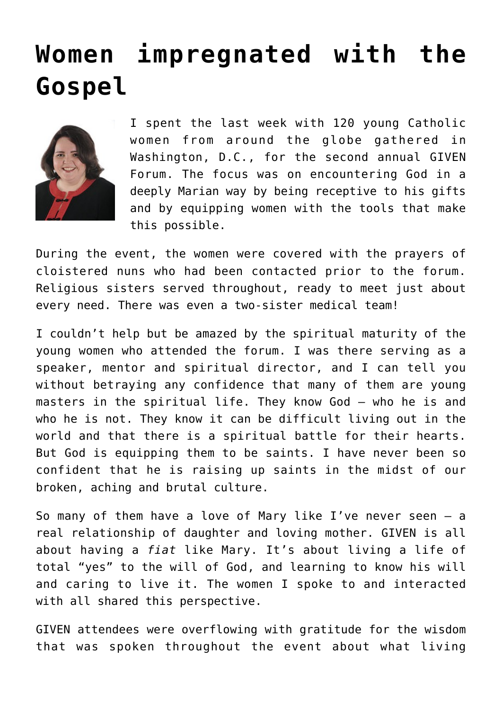## **[Women impregnated with the](https://www.osvnews.com/2019/06/18/women-impregnated-with-the-gospel/) [Gospel](https://www.osvnews.com/2019/06/18/women-impregnated-with-the-gospel/)**



I spent the last week with 120 young Catholic women from around the globe gathered in Washington, D.C., for the second annual GIVEN Forum. The focus was on encountering God in a deeply Marian way by being receptive to his gifts and by equipping women with the tools that make this possible.

During the event, the women were covered with the prayers of cloistered nuns who had been contacted prior to the forum. Religious sisters served throughout, ready to meet just about every need. There was even a two-sister medical team!

I couldn't help but be amazed by the spiritual maturity of the young women who attended the forum. I was there serving as a speaker, mentor and spiritual director, and I can tell you without betraying any confidence that many of them are young masters in the spiritual life. They know God — who he is and who he is not. They know it can be difficult living out in the world and that there is a spiritual battle for their hearts. But God is equipping them to be saints. I have never been so confident that he is raising up saints in the midst of our broken, aching and brutal culture.

So many of them have a love of Mary like I've never seen — a real relationship of daughter and loving mother. GIVEN is all about having a *fiat* like Mary. It's about living a life of total "yes" to the will of God, and learning to know his will and caring to live it. The women I spoke to and interacted with all shared this perspective.

GIVEN attendees were overflowing with gratitude for the wisdom that was spoken throughout the event about what living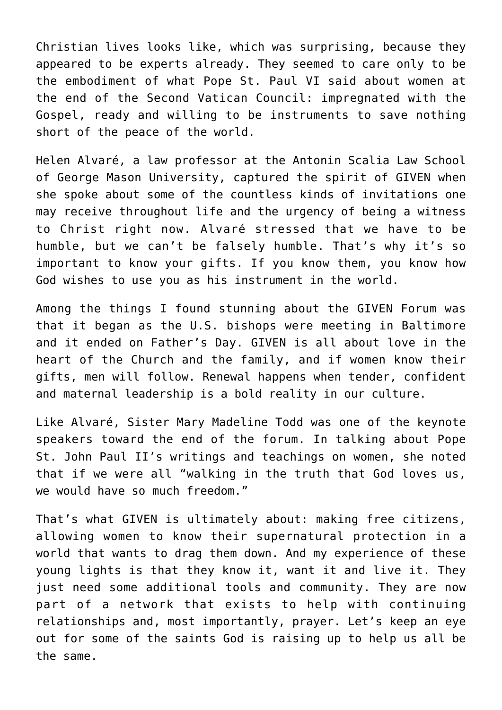Christian lives looks like, which was surprising, because they appeared to be experts already. They seemed to care only to be the embodiment of what Pope St. Paul VI said about women at the end of the Second Vatican Council: impregnated with the Gospel, ready and willing to be instruments to save nothing short of the peace of the world.

Helen Alvaré, a law professor at the Antonin Scalia Law School of George Mason University, captured the spirit of GIVEN when she spoke about some of the countless kinds of invitations one may receive throughout life and the urgency of being a witness to Christ right now. Alvaré stressed that we have to be humble, but we can't be falsely humble. That's why it's so important to know your gifts. If you know them, you know how God wishes to use you as his instrument in the world.

Among the things I found stunning about the GIVEN Forum was that it began as the U.S. bishops were meeting in Baltimore and it ended on Father's Day. GIVEN is all about love in the heart of the Church and the family, and if women know their gifts, men will follow. Renewal happens when tender, confident and maternal leadership is a bold reality in our culture.

Like Alvaré, Sister Mary Madeline Todd was one of the keynote speakers toward the end of the forum. In talking about Pope St. John Paul II's writings and teachings on women, she noted that if we were all "walking in the truth that God loves us, we would have so much freedom."

That's what GIVEN is ultimately about: making free citizens, allowing women to know their supernatural protection in a world that wants to drag them down. And my experience of these young lights is that they know it, want it and live it. They just need some additional tools and community. They are now part of a network that exists to help with continuing relationships and, most importantly, prayer. Let's keep an eye out for some of the saints God is raising up to help us all be the same.